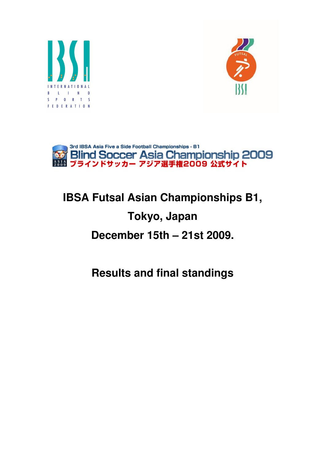





# **IBSA Futsal Asian Championships B1,**

## **Tokyo, Japan**

## **December 15th – 21st 2009.**

# **Results and final standings**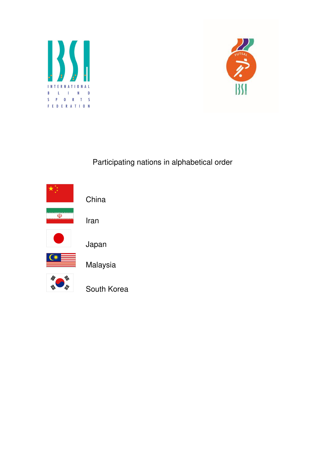



Participating nations in alphabetical order

| China       |
|-------------|
| Iran        |
| Japan       |
| Malaysia    |
| South Korea |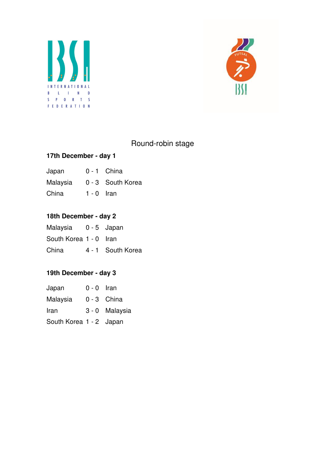



### Round-robin stage

#### **17th December - day 1**

| Japan | $0 - 1$ | China |
|-------|---------|-------|
|       |         |       |

- Malaysia 0 3 South Korea
- China 1 0 Iran

### **18th December - day 2**

Malaysia 0 - 5 Japan

- South Korea 1 0 Iran
- China 4 1 South Korea

#### **19th December - day 3**

| Japan                   | $0 - 0$ Iran |                |
|-------------------------|--------------|----------------|
| Malaysia                |              | $0 - 3$ China  |
| Iran                    |              | 3 - 0 Malaysia |
| South Korea 1 - 2 Japan |              |                |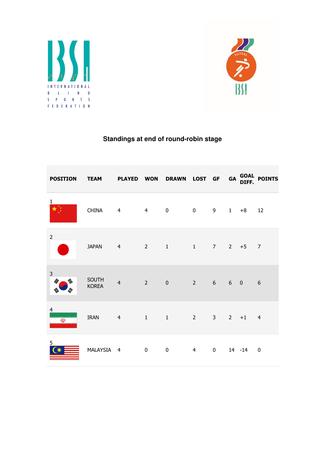



### **Standings at end of round-robin stage**

| <b>POSITION</b>                           | <b>TEAM</b>                  |                |   | PLAYED WON DRAWN LOST GF GA GOAL POINTS |                          |                       | DIFF.      |                |
|-------------------------------------------|------------------------------|----------------|---|-----------------------------------------|--------------------------|-----------------------|------------|----------------|
| $\mathbf{1}$                              | CHINA 4                      |                |   | 4 0 0 9                                 |                          |                       | $1 + 8$ 12 |                |
| $\overline{2}$                            | JAPAN 4 2 1 1 7              |                |   |                                         |                          |                       | $2 + 5$    | $\overline{7}$ |
| 3 <sup>1</sup><br>M,<br>III               | <b>SOUTH</b><br><b>KOREA</b> | $\overline{4}$ |   | $2 \t 0$                                | $2^{\circ}$              | $6 \qquad 6 \qquad 0$ |            | 6              |
| $\overline{4}$<br>$\overline{\mathbb{Q}}$ | <b>IRAN</b>                  | $\overline{4}$ |   | $1 \quad 1$                             | $2 \t 3 \t 2 \t +1 \t 4$ |                       |            |                |
| 5                                         | MALAYSIA 4                   |                | 0 | $\mathbf 0$                             | 4                        | $0 \qquad \qquad$     | 14 - 14    | 0              |